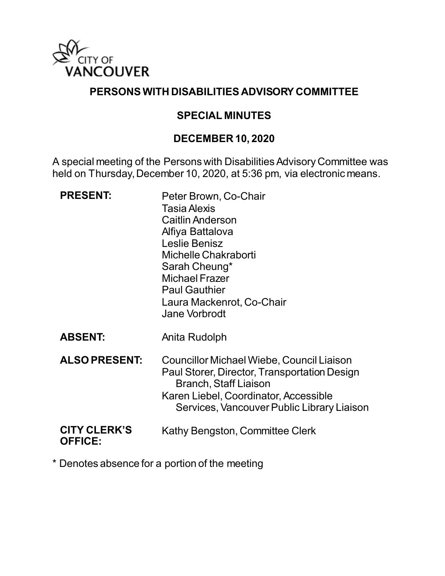

### **PERSONS WITH DISABILITIES ADVISORY COMMITTEE**

#### **SPECIAL MINUTES**

### **DECEMBER 10, 2020**

A special meeting of the Persons with Disabilities Advisory Committee was held on Thursday, December 10, 2020, at 5:36 pm, via electronic means.

| <b>PRESENT:</b>                       | Peter Brown, Co-Chair<br><b>Tasia Alexis</b><br><b>Caitlin Anderson</b><br>Alfiya Battalova<br>Leslie Benisz<br>Michelle Chakraborti<br>Sarah Cheung*<br><b>Michael Frazer</b><br><b>Paul Gauthier</b><br>Laura Mackenrot, Co-Chair<br>Jane Vorbrodt |
|---------------------------------------|------------------------------------------------------------------------------------------------------------------------------------------------------------------------------------------------------------------------------------------------------|
| <b>ABSENT:</b>                        | Anita Rudolph                                                                                                                                                                                                                                        |
| <b>ALSO PRESENT:</b>                  | Councillor Michael Wiebe, Council Liaison<br>Paul Storer, Director, Transportation Design<br><b>Branch, Staff Liaison</b><br>Karen Liebel, Coordinator, Accessible<br>Services, Vancouver Public Library Liaison                                     |
| <b>CITY CLERK'S</b><br><b>OFFICE:</b> | Kathy Bengston, Committee Clerk                                                                                                                                                                                                                      |

\* Denotes absence for a portion of the meeting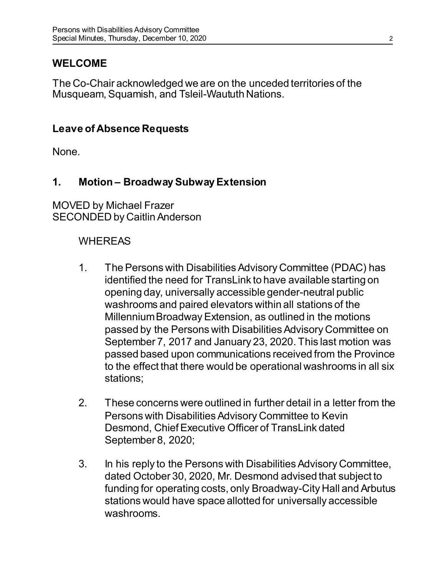## **WELCOME**

The Co-Chair acknowledged we are on the unceded territories of the Musqueam, Squamish, and Tsleil-Waututh Nations.

### **Leave of Absence Requests**

None.

# **1. Motion – Broadway Subway Extension**

MOVED by Michael Frazer SECONDED by Caitlin Anderson

### WHEREAS

- 1. The Persons with Disabilities Advisory Committee (PDAC) has identified the need for TransLink to have available starting on opening day, universally accessible gender-neutral public washrooms and paired elevators within all stations of the Millennium Broadway Extension, as outlined in the motions passed by the Persons with Disabilities Advisory Committee on September 7, 2017 and January 23, 2020. This last motion was passed based upon communications received from the Province to the effect that there would be operational washrooms in all six stations;
- 2. These concerns were outlined in further detail in a letter from the Persons with Disabilities Advisory Committee to Kevin Desmond, Chief Executive Officer of TransLink dated September 8, 2020;
- 3. In his reply to the Persons with Disabilities Advisory Committee, dated October 30, 2020, Mr. Desmond advised that subject to funding for operating costs, only Broadway-City Hall and Arbutus stations would have space allotted for universally accessible washrooms.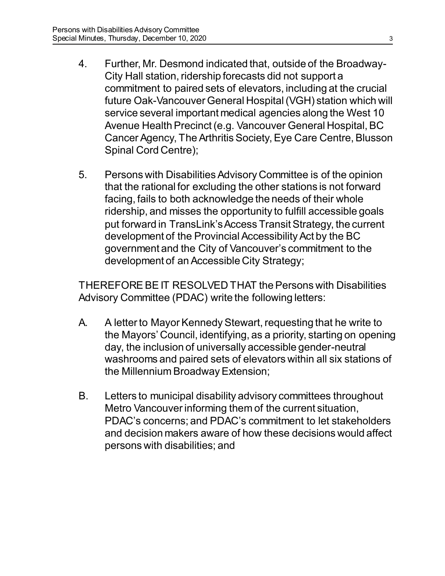- 4. Further, Mr. Desmond indicated that, outside of the Broadway-City Hall station, ridership forecasts did not support a commitment to paired sets of elevators, including at the crucial future Oak-Vancouver General Hospital (VGH) station which will service several important medical agencies along the West 10 Avenue Health Precinct (e.g. Vancouver General Hospital, BC Cancer Agency, The Arthritis Society, Eye Care Centre, Blusson Spinal Cord Centre);
- 5. Persons with Disabilities Advisory Committee is of the opinion that the rational for excluding the other stations is not forward facing, fails to both acknowledge the needs of their whole ridership, and misses the opportunity to fulfill accessible goals put forward in TransLink's Access Transit Strategy, the current development of the Provincial Accessibility Act by the BC government and the City of Vancouver's commitment to the development of an Accessible City Strategy;

THEREFORE BE IT RESOLVED THAT the Persons with Disabilities Advisory Committee (PDAC) write the following letters:

- A. A letter to Mayor Kennedy Stewart, requesting that he write to the Mayors' Council, identifying, as a priority, starting on opening day, the inclusion of universally accessible gender-neutral washrooms and paired sets of elevators within all six stations of the Millennium Broadway Extension;
- B. Letters to municipal disability advisory committees throughout Metro Vancouver informing them of the current situation, PDAC's concerns; and PDAC's commitment to let stakeholders and decision makers aware of how these decisions would affect persons with disabilities; and